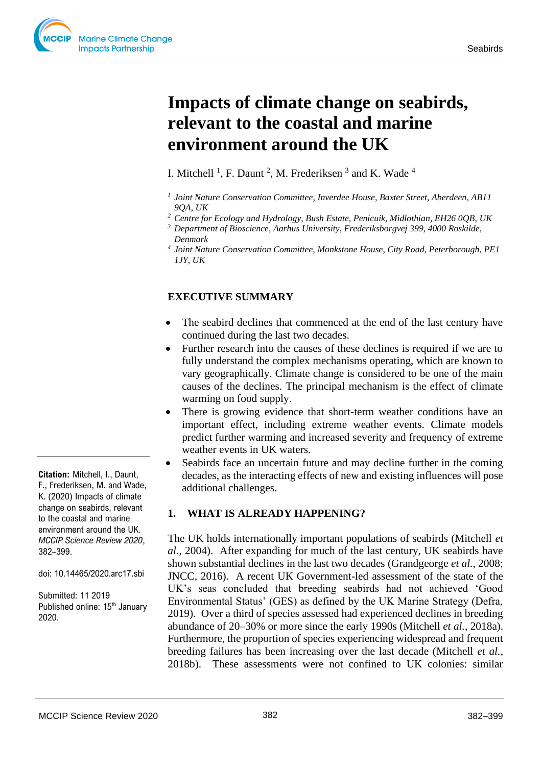# **Impacts of climate change on seabirds, relevant to the coastal and marine environment around the UK**

I. Mitchell<sup>1</sup>, F. Daunt<sup>2</sup>, M. Frederiksen<sup>3</sup> and K. Wade<sup>4</sup>

- *1 Joint Nature Conservation Committee, Inverdee House, Baxter Street, Aberdeen, AB11 9QA, UK*
- *<sup>2</sup> Centre for Ecology and Hydrology, Bush Estate, Penicuik, Midlothian, EH26 0QB, UK*
- *<sup>3</sup> Department of Bioscience, Aarhus University, Frederiksborgvej 399, 4000 Roskilde, Denmark*
- *<sup>4</sup>Joint Nature Conservation Committee, Monkstone House, City Road, Peterborough, PE1 1JY, UK*

# **EXECUTIVE SUMMARY**

- The seabird declines that commenced at the end of the last century have continued during the last two decades.
- Further research into the causes of these declines is required if we are to fully understand the complex mechanisms operating, which are known to vary geographically. Climate change is considered to be one of the main causes of the declines. The principal mechanism is the effect of climate warming on food supply.
- There is growing evidence that short-term weather conditions have an important effect, including extreme weather events. Climate models predict further warming and increased severity and frequency of extreme weather events in UK waters.
- Seabirds face an uncertain future and may decline further in the coming decades, as the interacting effects of new and existing influences will pose additional challenges.

### **1. WHAT IS ALREADY HAPPENING?**

The UK holds internationally important populations of seabirds (Mitchell *et al.*, 2004). After expanding for much of the last century, UK seabirds have shown substantial declines in the last two decades (Grandgeorge *et al.*, 2008; JNCC, 2016). A recent UK Government-led assessment of the state of the UK's seas concluded that breeding seabirds had not achieved 'Good Environmental Status' (GES) as defined by the UK Marine Strategy (Defra, 2019). Over a third of species assessed had experienced declines in breeding abundance of 20–30% or more since the early 1990s (Mitchell *et al.*, 2018a). Furthermore, the proportion of species experiencing widespread and frequent breeding failures has been increasing over the last decade (Mitchell *et al.*, 2018b). These assessments were not confined to UK colonies: similar

**Citation:** Mitchell, I., Daunt, F., Frederiksen, M. and Wade, K. (2020) Impacts of climate change on seabirds, relevant to the coastal and marine environment around the UK. *MCCIP Science Review 2020*, 382–399.

doi: 10.14465/2020.arc17.sbi

Submitted: 11 2019 Published online: 15<sup>th</sup> January 2020.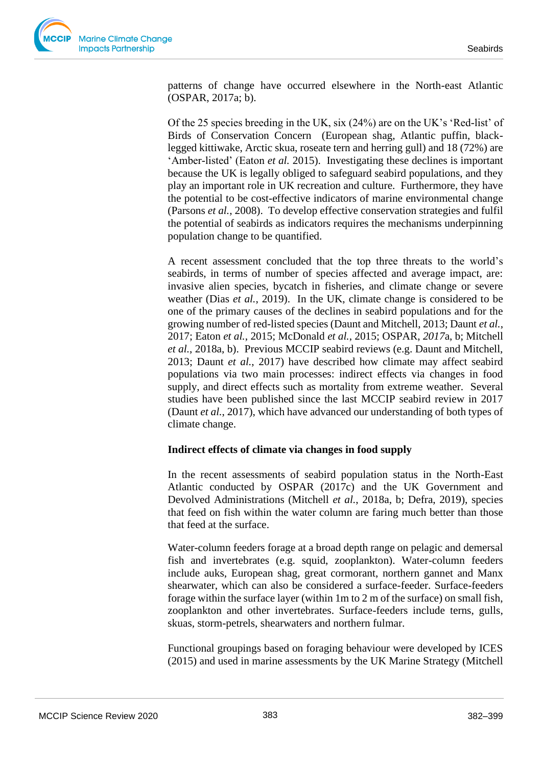

patterns of change have occurred elsewhere in the North-east Atlantic (OSPAR, 2017a; b).

Of the 25 species breeding in the UK, six (24%) are on the UK's 'Red-list' of Birds of Conservation Concern (European shag, Atlantic puffin, blacklegged kittiwake, Arctic skua, roseate tern and herring gull) and 18 (72%) are 'Amber-listed' (Eaton *et al.* 2015). Investigating these declines is important because the UK is legally obliged to safeguard seabird populations, and they play an important role in UK recreation and culture. Furthermore, they have the potential to be cost-effective indicators of marine environmental change (Parsons *et al.*, 2008). To develop effective conservation strategies and fulfil the potential of seabirds as indicators requires the mechanisms underpinning population change to be quantified.

A recent assessment concluded that the top three threats to the world's seabirds, in terms of number of species affected and average impact, are: invasive alien species, bycatch in fisheries, and climate change or severe weather (Dias *et al.*, 2019). In the UK, climate change is considered to be one of the primary causes of the declines in seabird populations and for the growing number of red-listed species (Daunt and Mitchell, 2013; Daunt *et al.*, 2017; Eaton *et al.*, 2015; McDonald *et al.*, 2015; OSPAR, *2017*a, b; Mitchell *et al.*, 2018a, b). Previous MCCIP seabird reviews (e.g. Daunt and Mitchell, 2013; Daunt *et al.*, 2017) have described how climate may affect seabird populations via two main processes: indirect effects via changes in food supply, and direct effects such as mortality from extreme weather. Several studies have been published since the last MCCIP seabird review in 2017 (Daunt *et al.*, 2017), which have advanced our understanding of both types of climate change.

### **Indirect effects of climate via changes in food supply**

In the recent assessments of seabird population status in the North-East Atlantic conducted by OSPAR (2017c) and the UK Government and Devolved Administrations (Mitchell *et al.*, 2018a, b; Defra, 2019), species that feed on fish within the water column are faring much better than those that feed at the surface.

Water-column feeders forage at a broad depth range on pelagic and demersal fish and invertebrates (e.g. squid, zooplankton). Water-column feeders include auks, European shag, great cormorant, northern gannet and Manx shearwater, which can also be considered a surface-feeder. Surface-feeders forage within the surface layer (within 1m to 2 m of the surface) on small fish, zooplankton and other invertebrates. Surface-feeders include terns, gulls, skuas, storm-petrels, shearwaters and northern fulmar.

Functional groupings based on foraging behaviour were developed by ICES (2015) and used in marine assessments by the UK Marine Strategy (Mitchell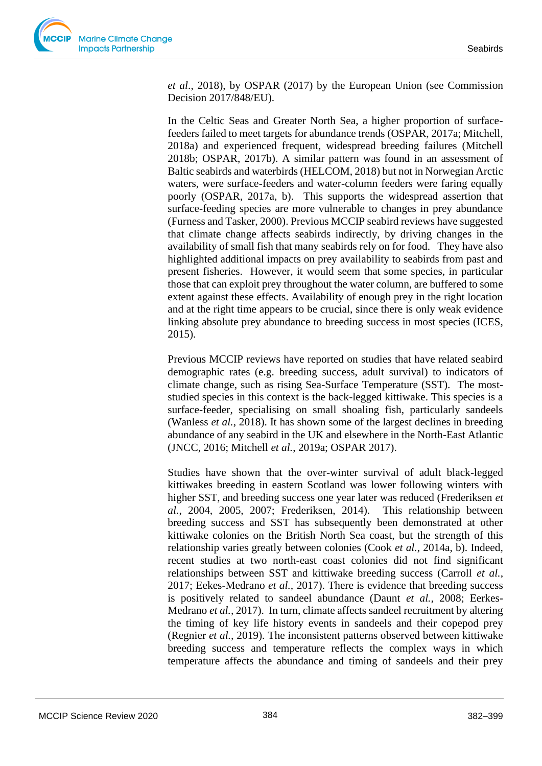*et al*., 2018), by OSPAR (2017) by the European Union (see Commission Decision 2017/848/EU).

In the Celtic Seas and Greater North Sea, a higher proportion of surfacefeeders failed to meet targets for abundance trends (OSPAR, 2017a; Mitchell, 2018a) and experienced frequent, widespread breeding failures (Mitchell 2018b; OSPAR, 2017b). A similar pattern was found in an assessment of Baltic seabirds and waterbirds (HELCOM, 2018) but not in Norwegian Arctic waters, were surface-feeders and water-column feeders were faring equally poorly (OSPAR, 2017a, b). This supports the widespread assertion that surface-feeding species are more vulnerable to changes in prey abundance (Furness and Tasker, 2000). Previous MCCIP seabird reviews have suggested that climate change affects seabirds indirectly, by driving changes in the availability of small fish that many seabirds rely on for food. They have also highlighted additional impacts on prey availability to seabirds from past and present fisheries. However, it would seem that some species, in particular those that can exploit prey throughout the water column, are buffered to some extent against these effects. Availability of enough prey in the right location and at the right time appears to be crucial, since there is only weak evidence linking absolute prey abundance to breeding success in most species (ICES, 2015).

Previous MCCIP reviews have reported on studies that have related seabird demographic rates (e.g. breeding success, adult survival) to indicators of climate change, such as rising Sea-Surface Temperature (SST). The moststudied species in this context is the back-legged kittiwake. This species is a surface-feeder, specialising on small shoaling fish, particularly sandeels (Wanless *et al.*, 2018). It has shown some of the largest declines in breeding abundance of any seabird in the UK and elsewhere in the North-East Atlantic (JNCC, 2016; Mitchell *et al.*, 2019a; OSPAR 2017).

Studies have shown that the over-winter survival of adult black-legged kittiwakes breeding in eastern Scotland was lower following winters with higher SST, and breeding success one year later was reduced (Frederiksen *et al.*, 2004, 2005, 2007; Frederiksen, 2014). This relationship between breeding success and SST has subsequently been demonstrated at other kittiwake colonies on the British North Sea coast, but the strength of this relationship varies greatly between colonies (Cook *et al.*, 2014a, b). Indeed, recent studies at two north-east coast colonies did not find significant relationships between SST and kittiwake breeding success (Carroll *et al.*, 2017; Eekes-Medrano *et al.,* 2017). There is evidence that breeding success is positively related to sandeel abundance (Daunt *et al.,* 2008; Eerkes-Medrano *et al.,* 2017). In turn, climate affects sandeel recruitment by altering the timing of key life history events in sandeels and their copepod prey (Regnier *et al.,* 2019). The inconsistent patterns observed between kittiwake breeding success and temperature reflects the complex ways in which temperature affects the abundance and timing of sandeels and their prey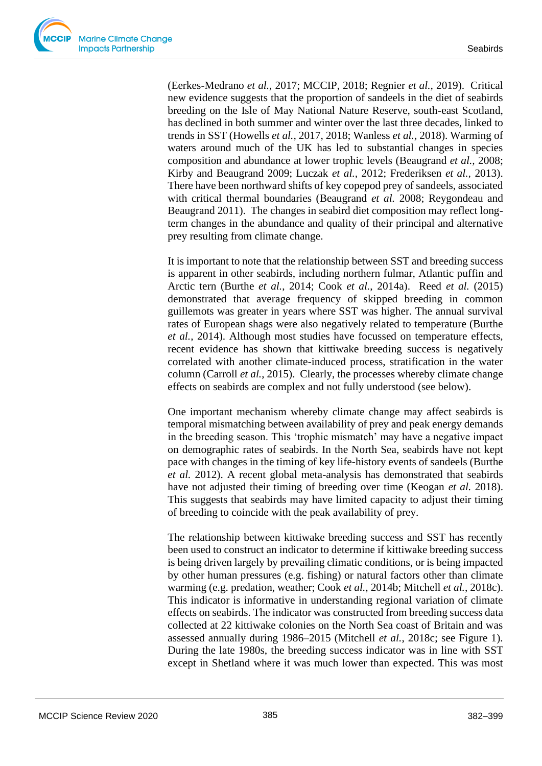(Eerkes-Medrano *et al.,* 2017; MCCIP, 2018; Regnier *et al.,* 2019). Critical new evidence suggests that the proportion of sandeels in the diet of seabirds breeding on the Isle of May National Nature Reserve, south-east Scotland, has declined in both summer and winter over the last three decades, linked to trends in SST (Howells *et al.,* 2017, 2018; Wanless *et al.,* 2018). Warming of waters around much of the UK has led to substantial changes in species composition and abundance at lower trophic levels (Beaugrand *et al.,* 2008; Kirby and Beaugrand 2009; Luczak *et al.,* 2012; Frederiksen *et al.,* 2013). There have been northward shifts of key copepod prey of sandeels, associated with critical thermal boundaries (Beaugrand *et al.* 2008; Reygondeau and Beaugrand 2011). The changes in seabird diet composition may reflect longterm changes in the abundance and quality of their principal and alternative prey resulting from climate change.

It is important to note that the relationship between SST and breeding success is apparent in other seabirds, including northern fulmar, Atlantic puffin and Arctic tern (Burthe *et al.*, 2014; Cook *et al.*, 2014a). Reed *et al.* (2015) demonstrated that average frequency of skipped breeding in common guillemots was greater in years where SST was higher. The annual survival rates of European shags were also negatively related to temperature (Burthe *et al.*, 2014). Although most studies have focussed on temperature effects, recent evidence has shown that kittiwake breeding success is negatively correlated with another climate-induced process, stratification in the water column (Carroll *et al.*, 2015). Clearly, the processes whereby climate change effects on seabirds are complex and not fully understood (see below).

One important mechanism whereby climate change may affect seabirds is temporal mismatching between availability of prey and peak energy demands in the breeding season. This 'trophic mismatch' may have a negative impact on demographic rates of seabirds. In the North Sea, seabirds have not kept pace with changes in the timing of key life-history events of sandeels (Burthe *et al.* 2012). A recent global meta-analysis has demonstrated that seabirds have not adjusted their timing of breeding over time (Keogan *et al.* 2018). This suggests that seabirds may have limited capacity to adjust their timing of breeding to coincide with the peak availability of prey.

The relationship between kittiwake breeding success and SST has recently been used to construct an indicator to determine if kittiwake breeding success is being driven largely by prevailing climatic conditions, or is being impacted by other human pressures (e.g. fishing) or natural factors other than climate warming (e.g. predation, weather; Cook *et al.*, 2014b; Mitchell *et al.*, 2018c). This indicator is informative in understanding regional variation of climate effects on seabirds. The indicator was constructed from breeding success data collected at 22 kittiwake colonies on the North Sea coast of Britain and was assessed annually during 1986–2015 (Mitchell *et al.*, 2018c; see Figure 1). During the late 1980s, the breeding success indicator was in line with SST except in Shetland where it was much lower than expected. This was most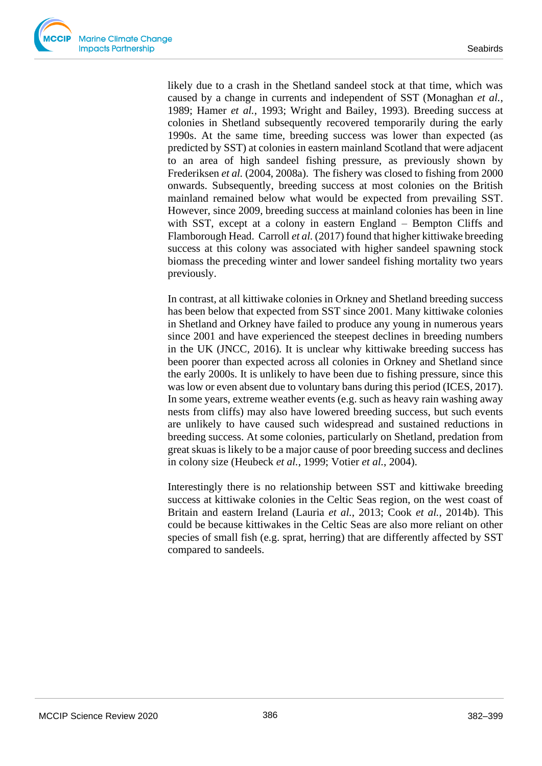likely due to a crash in the Shetland sandeel stock at that time, which was caused by a change in currents and independent of SST (Monaghan *et al.*, 1989; Hamer *et al.*, 1993; Wright and Bailey, 1993). Breeding success at colonies in Shetland subsequently recovered temporarily during the early 1990s. At the same time, breeding success was lower than expected (as predicted by SST) at colonies in eastern mainland Scotland that were adjacent to an area of high sandeel fishing pressure, as previously shown by Frederiksen *et al.* (2004, 2008a). The fishery was closed to fishing from 2000 onwards. Subsequently, breeding success at most colonies on the British mainland remained below what would be expected from prevailing SST. However, since 2009, breeding success at mainland colonies has been in line with SST, except at a colony in eastern England – Bempton Cliffs and Flamborough Head. Carroll *et al.* (2017) found that higher kittiwake breeding success at this colony was associated with higher sandeel spawning stock biomass the preceding winter and lower sandeel fishing mortality two years previously.

In contrast, at all kittiwake colonies in Orkney and Shetland breeding success has been below that expected from SST since 2001. Many kittiwake colonies in Shetland and Orkney have failed to produce any young in numerous years since 2001 and have experienced the steepest declines in breeding numbers in the UK (JNCC, 2016). It is unclear why kittiwake breeding success has been poorer than expected across all colonies in Orkney and Shetland since the early 2000s. It is unlikely to have been due to fishing pressure, since this was low or even absent due to voluntary bans during this period (ICES, 2017). In some years, extreme weather events (e.g. such as heavy rain washing away nests from cliffs) may also have lowered breeding success, but such events are unlikely to have caused such widespread and sustained reductions in breeding success. At some colonies, particularly on Shetland, predation from great skuas is likely to be a major cause of poor breeding success and declines in colony size (Heubeck *et al.*, 1999; Votier *et al.*, 2004).

Interestingly there is no relationship between SST and kittiwake breeding success at kittiwake colonies in the Celtic Seas region, on the west coast of Britain and eastern Ireland (Lauria *et al.*, 2013; Cook *et al.*, 2014b). This could be because kittiwakes in the Celtic Seas are also more reliant on other species of small fish (e.g. sprat, herring) that are differently affected by SST compared to sandeels.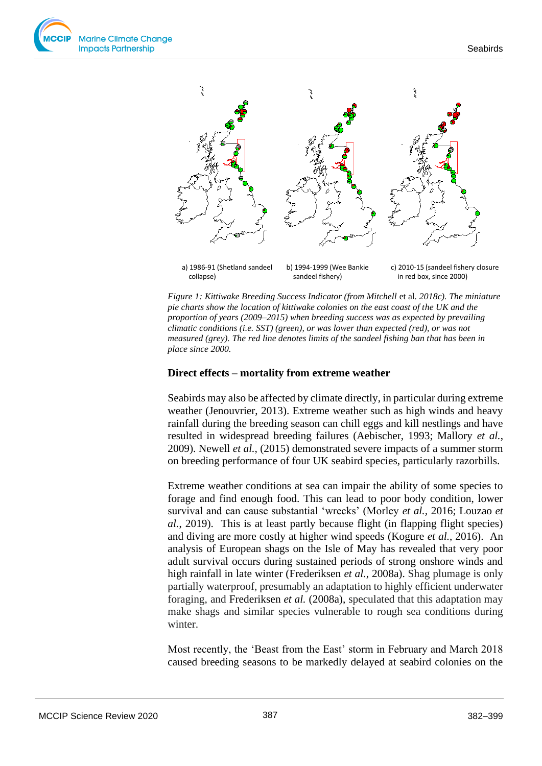

*Figure 1: Kittiwake Breeding Success Indicator (from Mitchell* et al*. 2018c). The miniature pie charts show the location of kittiwake colonies on the east coast of the UK and the proportion of years (2009–2015) when breeding success was as expected by prevailing climatic conditions (i.e. SST) (green), or was lower than expected (red), or was not measured (grey). The red line denotes limits of the sandeel fishing ban that has been in place since 2000.*

#### **Direct effects – mortality from extreme weather**

Seabirds may also be affected by climate directly, in particular during extreme weather (Jenouvrier, 2013). Extreme weather such as high winds and heavy rainfall during the breeding season can chill eggs and kill nestlings and have resulted in widespread breeding failures (Aebischer, 1993; Mallory *et al.*, 2009). Newell *et al.*, (2015) demonstrated severe impacts of a summer storm on breeding performance of four UK seabird species, particularly razorbills.

Extreme weather conditions at sea can impair the ability of some species to forage and find enough food. This can lead to poor body condition, lower survival and can cause substantial 'wrecks' (Morley *et al.,* 2016; Louzao *et al.*, 2019). This is at least partly because flight (in flapping flight species) and diving are more costly at higher wind speeds (Kogure *et al.*, 2016). An analysis of European shags on the Isle of May has revealed that very poor adult survival occurs during sustained periods of strong onshore winds and high rainfall in late winter (Frederiksen *et al.*, 2008a). Shag plumage is only partially waterproof, presumably an adaptation to highly efficient underwater foraging, and Frederiksen *et al.* (2008a), speculated that this adaptation may make shags and similar species vulnerable to rough sea conditions during winter.

Most recently, the 'Beast from the East' storm in February and March 2018 caused breeding seasons to be markedly delayed at seabird colonies on the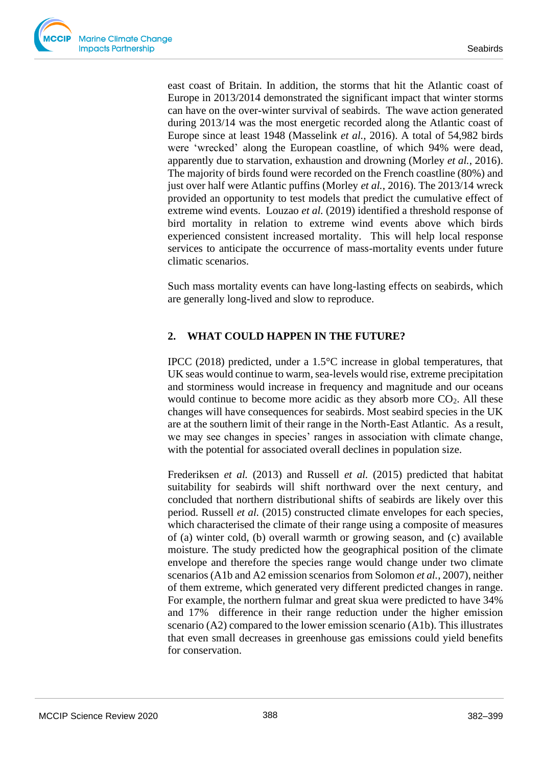east coast of Britain. In addition, the storms that hit the Atlantic coast of Europe in 2013/2014 demonstrated the significant impact that winter storms can have on the over-winter survival of seabirds. The wave action generated during 2013/14 was the most energetic recorded along the Atlantic coast of Europe since at least 1948 (Masselink *et al.*, 2016). A total of 54,982 birds were 'wrecked' along the European coastline, of which 94% were dead, apparently due to starvation, exhaustion and drowning (Morley *et al.*, 2016). The majority of birds found were recorded on the French coastline (80%) and just over half were Atlantic puffins (Morley *et al.*, 2016). The 2013/14 wreck provided an opportunity to test models that predict the cumulative effect of extreme wind events. Louzao *et al.* (2019) identified a threshold response of bird mortality in relation to extreme wind events above which birds experienced consistent increased mortality. This will help local response services to anticipate the occurrence of mass-mortality events under future climatic scenarios.

Such mass mortality events can have long-lasting effects on seabirds, which are generally long-lived and slow to reproduce.

# **2. WHAT COULD HAPPEN IN THE FUTURE?**

IPCC (2018) predicted, under a 1.5°C increase in global temperatures, that UK seas would continue to warm, sea-levels would rise, extreme precipitation and storminess would increase in frequency and magnitude and our oceans would continue to become more acidic as they absorb more  $CO<sub>2</sub>$ . All these changes will have consequences for seabirds. Most seabird species in the UK are at the southern limit of their range in the North-East Atlantic. As a result, we may see changes in species' ranges in association with climate change, with the potential for associated overall declines in population size.

Frederiksen *et al.* (2013) and Russell *et al.* (2015) predicted that habitat suitability for seabirds will shift northward over the next century, and concluded that northern distributional shifts of seabirds are likely over this period. Russell *et al.* (2015) constructed climate envelopes for each species, which characterised the climate of their range using a composite of measures of (a) winter cold, (b) overall warmth or growing season, and (c) available moisture. The study predicted how the geographical position of the climate envelope and therefore the species range would change under two climate scenarios (A1b and A2 emission scenarios from Solomon *et al.*, 2007), neither of them extreme, which generated very different predicted changes in range. For example, the northern fulmar and great skua were predicted to have 34% and 17% difference in their range reduction under the higher emission scenario (A2) compared to the lower emission scenario (A1b). This illustrates that even small decreases in greenhouse gas emissions could yield benefits for conservation.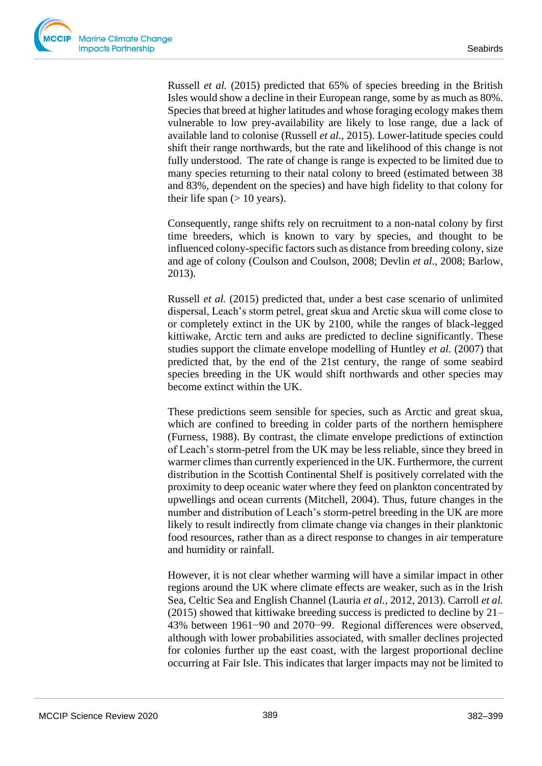Russell *et al.* (2015) predicted that 65% of species breeding in the British Isles would show a decline in their European range, some by as much as 80%. Species that breed at higher latitudes and whose foraging ecology makes them vulnerable to low prey-availability are likely to lose range, due a lack of available land to colonise (Russell *et al.,* 2015). Lower-latitude species could shift their range northwards, but the rate and likelihood of this change is not fully understood. The rate of change is range is expected to be limited due to many species returning to their natal colony to breed (estimated between 38 and 83%, dependent on the species) and have high fidelity to that colony for their life span  $(> 10$  years).

Consequently, range shifts rely on recruitment to a non-natal colony by first time breeders, which is known to vary by species, and thought to be influenced colony-specific factors such as distance from breeding colony, size and age of colony (Coulson and Coulson, 2008; Devlin *et al.,* 2008; Barlow, 2013).

Russell *et al.* (2015) predicted that, under a best case scenario of unlimited dispersal, Leach's storm petrel, great skua and Arctic skua will come close to or completely extinct in the UK by 2100, while the ranges of black-legged kittiwake, Arctic tern and auks are predicted to decline significantly. These studies support the climate envelope modelling of Huntley *et al.* (2007) that predicted that, by the end of the 21st century, the range of some seabird species breeding in the UK would shift northwards and other species may become extinct within the UK.

These predictions seem sensible for species, such as Arctic and great skua, which are confined to breeding in colder parts of the northern hemisphere (Furness, 1988). By contrast, the climate envelope predictions of extinction of Leach's storm-petrel from the UK may be less reliable, since they breed in warmer climes than currently experienced in the UK. Furthermore, the current distribution in the Scottish Continental Shelf is positively correlated with the proximity to deep oceanic water where they feed on plankton concentrated by upwellings and ocean currents (Mitchell, 2004). Thus, future changes in the number and distribution of Leach's storm-petrel breeding in the UK are more likely to result indirectly from climate change via changes in their planktonic food resources, rather than as a direct response to changes in air temperature and humidity or rainfall.

However, it is not clear whether warming will have a similar impact in other regions around the UK where climate effects are weaker, such as in the Irish Sea, Celtic Sea and English Channel (Lauria *et al.,* 2012, 2013). Carroll *et al.* (2015) showed that kittiwake breeding success is predicted to decline by 21– 43% between 1961−90 and 2070−99. Regional differences were observed, although with lower probabilities associated, with smaller declines projected for colonies further up the east coast, with the largest proportional decline occurring at Fair Isle. This indicates that larger impacts may not be limited to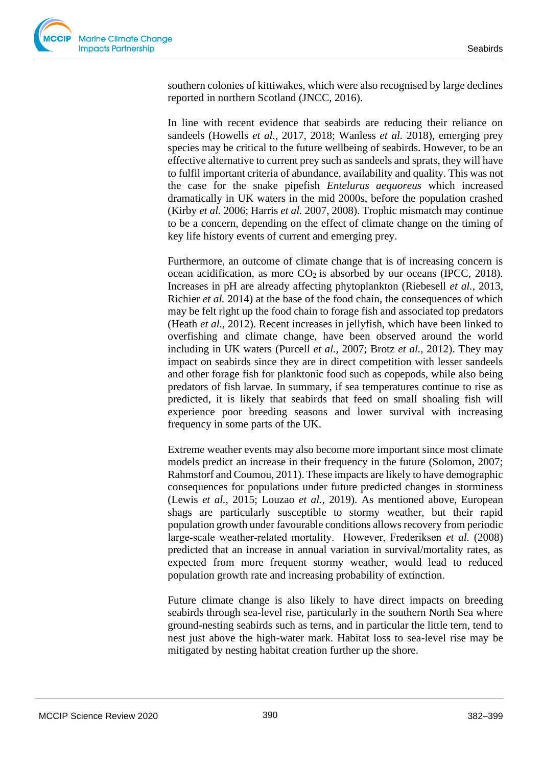southern colonies of kittiwakes, which were also recognised by large declines reported in northern Scotland (JNCC, 2016).

In line with recent evidence that seabirds are reducing their reliance on sandeels (Howells *et al.,* 2017, 2018; Wanless *et al.* 2018), emerging prey species may be critical to the future wellbeing of seabirds. However, to be an effective alternative to current prey such as sandeels and sprats, they will have to fulfil important criteria of abundance, availability and quality. This was not the case for the snake pipefish *Entelurus aequoreus* which increased dramatically in UK waters in the mid 2000s, before the population crashed (Kirby *et al.* 2006; Harris *et al.* 2007, 2008). Trophic mismatch may continue to be a concern, depending on the effect of climate change on the timing of key life history events of current and emerging prey.

Furthermore, an outcome of climate change that is of increasing concern is ocean acidification, as more  $CO<sub>2</sub>$  is absorbed by our oceans (IPCC, 2018). Increases in pH are already affecting phytoplankton (Riebesell *et al.,* 2013, Richier *et al.* 2014) at the base of the food chain, the consequences of which may be felt right up the food chain to forage fish and associated top predators (Heath *et al.,* 2012). Recent increases in jellyfish, which have been linked to overfishing and climate change, have been observed around the world including in UK waters (Purcell *et al.,* 2007; Brotz *et al.,* 2012). They may impact on seabirds since they are in direct competition with lesser sandeels and other forage fish for planktonic food such as copepods, while also being predators of fish larvae. In summary, if sea temperatures continue to rise as predicted, it is likely that seabirds that feed on small shoaling fish will experience poor breeding seasons and lower survival with increasing frequency in some parts of the UK.

Extreme weather events may also become more important since most climate models predict an increase in their frequency in the future (Solomon, 2007; Rahmstorf and Coumou, 2011). These impacts are likely to have demographic consequences for populations under future predicted changes in storminess (Lewis *et al.,* 2015; Louzao *et al.*, 2019). As mentioned above, European shags are particularly susceptible to stormy weather, but their rapid population growth under favourable conditions allows recovery from periodic large‐scale weather‐related mortality. However, Frederiksen *et al.* (2008) predicted that an increase in annual variation in survival/mortality rates, as expected from more frequent stormy weather, would lead to reduced population growth rate and increasing probability of extinction.

Future climate change is also likely to have direct impacts on breeding seabirds through sea-level rise, particularly in the southern North Sea where ground-nesting seabirds such as terns, and in particular the little tern, tend to nest just above the high-water mark. Habitat loss to sea-level rise may be mitigated by nesting habitat creation further up the shore.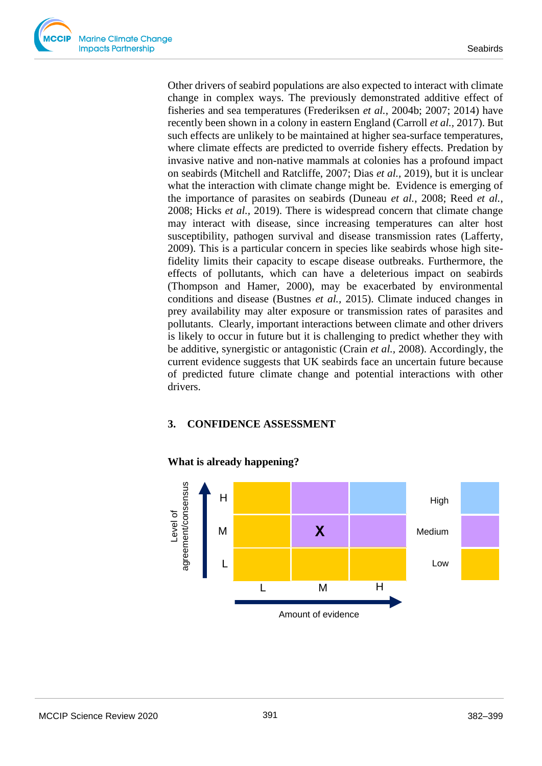Other drivers of seabird populations are also expected to interact with climate change in complex ways. The previously demonstrated additive effect of fisheries and sea temperatures (Frederiksen *et al.*, 2004b; 2007; 2014) have recently been shown in a colony in eastern England (Carroll *et al.,* 2017). But such effects are unlikely to be maintained at higher sea-surface temperatures, where climate effects are predicted to override fishery effects. Predation by invasive native and non-native mammals at colonies has a profound impact on seabirds (Mitchell and Ratcliffe, 2007; Dias *et al.,* 2019), but it is unclear what the interaction with climate change might be. Evidence is emerging of the importance of parasites on seabirds (Duneau *et al.*, 2008; Reed *et al.*, 2008; Hicks *et al.,* 2019). There is widespread concern that climate change may interact with disease, since increasing temperatures can alter host susceptibility, pathogen survival and disease transmission rates (Lafferty, 2009). This is a particular concern in species like seabirds whose high sitefidelity limits their capacity to escape disease outbreaks. Furthermore, the effects of pollutants, which can have a deleterious impact on seabirds (Thompson and Hamer, 2000), may be exacerbated by environmental conditions and disease (Bustnes *et al.,* 2015). Climate induced changes in prey availability may alter exposure or transmission rates of parasites and pollutants. Clearly, important interactions between climate and other drivers is likely to occur in future but it is challenging to predict whether they with be additive, synergistic or antagonistic (Crain *et al.,* 2008). Accordingly, the current evidence suggests that UK seabirds face an uncertain future because of predicted future climate change and potential interactions with other drivers.

# **3. CONFIDENCE ASSESSMENT**



# **What is already happening?**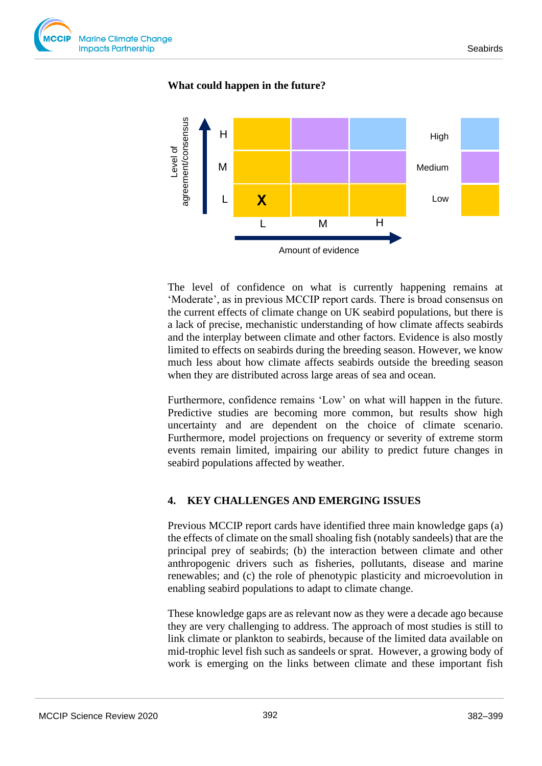### **What could happen in the future?**



The level of confidence on what is currently happening remains at 'Moderate', as in previous MCCIP report cards. There is broad consensus on the current effects of climate change on UK seabird populations, but there is a lack of precise, mechanistic understanding of how climate affects seabirds and the interplay between climate and other factors. Evidence is also mostly limited to effects on seabirds during the breeding season. However, we know much less about how climate affects seabirds outside the breeding season when they are distributed across large areas of sea and ocean.

Furthermore, confidence remains 'Low' on what will happen in the future. Predictive studies are becoming more common, but results show high uncertainty and are dependent on the choice of climate scenario. Furthermore, model projections on frequency or severity of extreme storm events remain limited, impairing our ability to predict future changes in seabird populations affected by weather.

#### **4. KEY CHALLENGES AND EMERGING ISSUES**

Previous MCCIP report cards have identified three main knowledge gaps (a) the effects of climate on the small shoaling fish (notably sandeels) that are the principal prey of seabirds; (b) the interaction between climate and other anthropogenic drivers such as fisheries, pollutants, disease and marine renewables; and (c) the role of phenotypic plasticity and microevolution in enabling seabird populations to adapt to climate change.

These knowledge gaps are as relevant now as they were a decade ago because they are very challenging to address. The approach of most studies is still to link climate or plankton to seabirds, because of the limited data available on mid-trophic level fish such as sandeels or sprat. However, a growing body of work is emerging on the links between climate and these important fish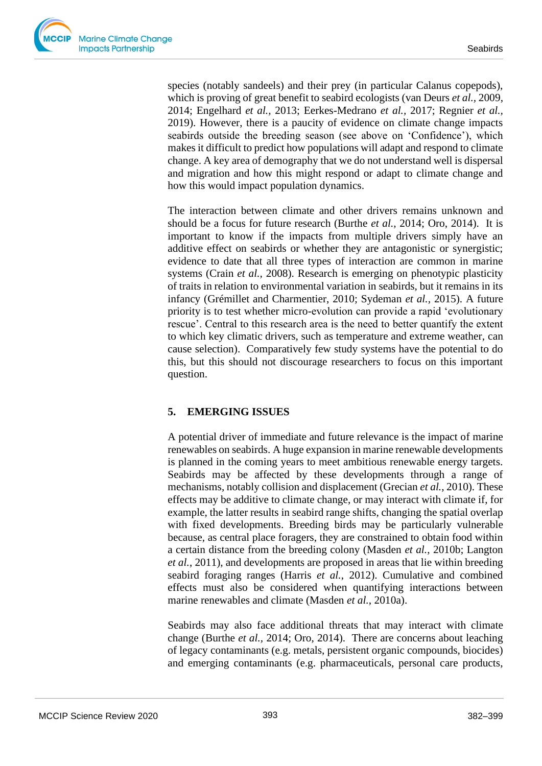

species (notably sandeels) and their prey (in particular Calanus copepods), which is proving of great benefit to seabird ecologists (van Deurs *et al.,* 2009, 2014; Engelhard *et al.,* 2013; Eerkes-Medrano *et al.,* 2017; Regnier *et al.,* 2019). However, there is a paucity of evidence on climate change impacts seabirds outside the breeding season (see above on 'Confidence'), which makes it difficult to predict how populations will adapt and respond to climate change. A key area of demography that we do not understand well is dispersal and migration and how this might respond or adapt to climate change and how this would impact population dynamics.

The interaction between climate and other drivers remains unknown and should be a focus for future research (Burthe *et al.,* 2014; Oro, 2014). It is important to know if the impacts from multiple drivers simply have an additive effect on seabirds or whether they are antagonistic or synergistic; evidence to date that all three types of interaction are common in marine systems (Crain *et al.,* 2008). Research is emerging on phenotypic plasticity of traits in relation to environmental variation in seabirds, but it remains in its infancy (Grémillet and Charmentier, 2010; Sydeman *et al.,* 2015). A future priority is to test whether micro-evolution can provide a rapid 'evolutionary rescue'. Central to this research area is the need to better quantify the extent to which key climatic drivers, such as temperature and extreme weather, can cause selection). Comparatively few study systems have the potential to do this, but this should not discourage researchers to focus on this important question.

# **5. EMERGING ISSUES**

A potential driver of immediate and future relevance is the impact of marine renewables on seabirds. A huge expansion in marine renewable developments is planned in the coming years to meet ambitious renewable energy targets. Seabirds may be affected by these developments through a range of mechanisms, notably collision and displacement (Grecian *et al.*, 2010). These effects may be additive to climate change, or may interact with climate if, for example, the latter results in seabird range shifts, changing the spatial overlap with fixed developments. Breeding birds may be particularly vulnerable because, as central place foragers, they are constrained to obtain food within a certain distance from the breeding colony (Masden *et al.*, 2010b; Langton *et al.*, 2011), and developments are proposed in areas that lie within breeding seabird foraging ranges (Harris *et al.*, 2012). Cumulative and combined effects must also be considered when quantifying interactions between marine renewables and climate (Masden *et al.*, 2010a).

Seabirds may also face additional threats that may interact with climate change (Burthe *et al.,* 2014; Oro, 2014). There are concerns about leaching of legacy contaminants (e.g. metals, persistent organic compounds, biocides) and emerging contaminants (e.g. pharmaceuticals, personal care products,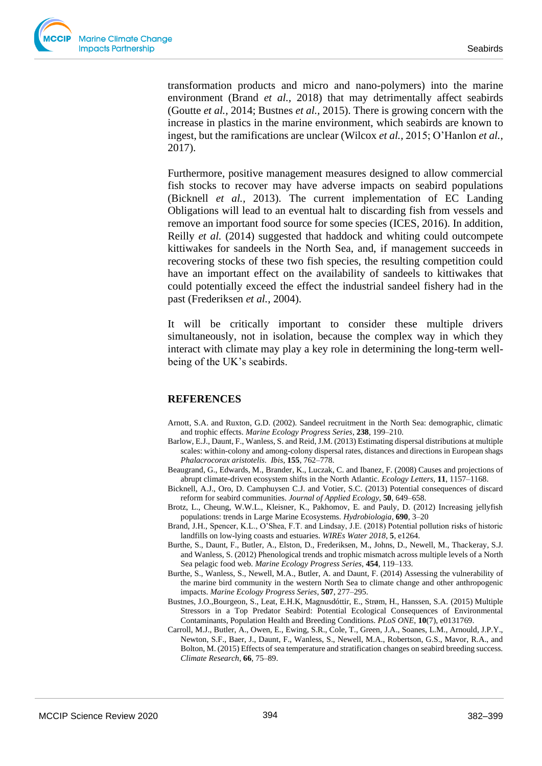transformation products and micro and nano-polymers) into the marine environment (Brand *et al.,* 2018) that may detrimentally affect seabirds (Goutte *et al.,* 2014; Bustnes *et al.,* 2015). There is growing concern with the increase in plastics in the marine environment, which seabirds are known to ingest, but the ramifications are unclear (Wilcox *et al.,* 2015; O'Hanlon *et al.,* 2017).

Furthermore, positive management measures designed to allow commercial fish stocks to recover may have adverse impacts on seabird populations (Bicknell *et al.,* 2013). The current implementation of EC Landing Obligations will lead to an eventual halt to discarding fish from vessels and remove an important food source for some species (ICES, 2016). In addition, Reilly *et al.* (2014) suggested that haddock and whiting could outcompete kittiwakes for sandeels in the North Sea, and, if management succeeds in recovering stocks of these two fish species, the resulting competition could have an important effect on the availability of sandeels to kittiwakes that could potentially exceed the effect the industrial sandeel fishery had in the past (Frederiksen *et al.*, 2004).

It will be critically important to consider these multiple drivers simultaneously, not in isolation, because the complex way in which they interact with climate may play a key role in determining the long-term wellbeing of the UK's seabirds.

#### **REFERENCES**

- Arnott, S.A. and Ruxton, G.D. (2002). Sandeel recruitment in the North Sea: demographic, climatic and trophic effects. *Marine Ecology Progress Series*, **238**, 199–210.
- Barlow, E.J., Daunt, F., Wanless, S. and Reid, J.M. (2013) Estimating dispersal distributions at multiple scales: within-colony and among-colony dispersal rates, distances and directions in European shags *Phalacrocorax aristotelis*. *Ibis,* **155**, 762–778.
- Beaugrand, G., Edwards, M., Brander, K., Luczak, C. and Ibanez, F. (2008) Causes and projections of abrupt climate-driven ecosystem shifts in the North Atlantic. *Ecology Letters,* **11**, 1157–1168.
- Bicknell, A.J., Oro, D. Camphuysen C.J. and Votier, S.C. (2013) Potential consequences of discard reform for seabird communities. *Journal of Applied Ecology*, **50**, 649–658.
- Brotz, L., Cheung, W.W.L., Kleisner, K., Pakhomov, E. and Pauly, D. (2012) Increasing jellyfish populations: trends in Large Marine Ecosystems. *Hydrobiologia*, **690**, 3–20
- Brand, J.H., Spencer, K.L., O'Shea, F.T. and Lindsay, J.E. (2018) Potential pollution risks of historic landfills on low-lying coasts and estuaries. *WIREs Water 2018*, **5**, e1264.
- Burthe, S., Daunt, F., Butler, A., Elston, D., Frederiksen, M., Johns, D., Newell, M., Thackeray, S.J. and Wanless, S. (2012) Phenological trends and trophic mismatch across multiple levels of a North Sea pelagic food web. *Marine Ecology Progress Series*, **454**, 119–133.
- Burthe, S., Wanless, S., Newell, M.A., Butler, A. and Daunt, F. (2014) Assessing the vulnerability of the marine bird community in the western North Sea to climate change and other anthropogenic impacts. *Marine Ecology Progress Series*, **507**, 277–295.
- Bustnes, J.O.,Bourgeon, S., Leat, E.H.K, Magnusdóttir, E., Strøm, H., Hanssen, S.A. (2015) Multiple Stressors in a Top Predator Seabird: Potential Ecological Consequences of Environmental Contaminants, Population Health and Breeding Conditions. *PLoS ONE*, **10**(7), e0131769.
- Carroll, M.J., Butler, A., Owen, E., Ewing, S.R., Cole, T., Green, J.A., Soanes, L.M., Arnould, J.P.Y., Newton, S.F., Baer, J., Daunt, F., Wanless, S., Newell, M.A., Robertson, G.S., Mavor, R.A., and Bolton, M. (2015) Effects of sea temperature and stratification changes on seabird breeding success. *Climate Research*, **66**, 75–89.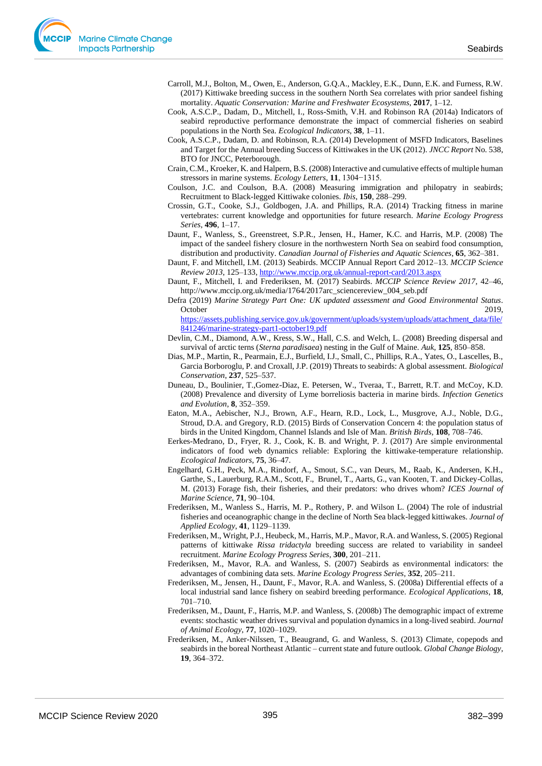- Carroll, M.J., Bolton, M., Owen, E., Anderson, G.Q.A., Mackley, E.K., Dunn, E.K. and Furness, R.W. (2017) Kittiwake breeding success in the southern North Sea correlates with prior sandeel fishing mortality. *Aquatic Conservation: Marine and Freshwater Ecosystems*, **2017**, 1–12.
- Cook, A.S.C.P., Dadam, D., Mitchell, I., Ross-Smith, V.H. and Robinson RA (2014a) Indicators of seabird reproductive performance demonstrate the impact of commercial fisheries on seabird populations in the North Sea. *Ecological Indicators*, **38**, 1–11.
- Cook, A.S.C.P., Dadam, D. and Robinson, R.A. (2014) Development of MSFD Indicators, Baselines and Target for the Annual breeding Success of Kittiwakes in the UK (2012). *JNCC Report* No. 538, BTO for JNCC, Peterborough.
- Crain, C.M., Kroeker, K. and Halpern, B.S. (2008) Interactive and cumulative effects of multiple human stressors in marine systems. *Ecology Letters*, **11**, 1304−1315.
- Coulson, J.C. and Coulson, B.A. (2008) Measuring immigration and philopatry in seabirds; Recruitment to Black-legged Kittiwake colonies. *Ibis*, **150**, 288–299.
- Crossin, G.T., Cooke, S.J., Goldbogen, J.A. and Phillips, R.A. (2014) Tracking fitness in marine vertebrates: current knowledge and opportunities for future research. *Marine Ecology Progress Series*, **496**, 1–17.
- Daunt, F., Wanless, S., Greenstreet, S.P.R., Jensen, H., Hamer, K.C. and Harris, M.P. (2008) The impact of the sandeel fishery closure in the northwestern North Sea on seabird food consumption, distribution and productivity. *Canadian Journal of Fisheries and Aquatic Sciences*, **65**, 362–381.
- Daunt, F. and Mitchell, I.M. (2013) Seabirds. MCCIP Annual Report Card 2012–13. *MCCIP Science Review 2013*, 125–133[, http://www.mccip.org.uk/annual-report-card/2013.aspx](http://www.mccip.org.uk/annual-report-card/2013.aspx)
- Daunt, F., Mitchell, I. and Frederiksen, M. (2017) Seabirds. *MCCIP Science Review 2017*, 42–46, http://www.mccip.org.uk/media/1764/2017arc\_sciencereview\_004\_seb.pdf
- Defra (2019) *Marine Strategy Part One: UK updated assessment and Good Environmental Status*. October 2019,
	- [https://assets.publishing.service.gov.uk/government/uploads/system/uploads/attachment\\_data/file/](https://assets.publishing.service.gov.uk/government/uploads/system/uploads/attachment_data/file/841246/marine-strategy-part1-october19.pdf) [841246/marine-strategy-part1-october19.pdf](https://assets.publishing.service.gov.uk/government/uploads/system/uploads/attachment_data/file/841246/marine-strategy-part1-october19.pdf)
- Devlin, C.M., Diamond, A.W., Kress, S.W., Hall, C.S. and Welch, L. (2008) Breeding dispersal and survival of arctic terns (*Sterna paradisaea*) nesting in the Gulf of Maine. *Auk*, **125**, 850–858.
- Dias, M.P., Martin, R., Pearmain, E.J., Burfield, I.J., Small, C., Phillips, R.A., Yates, O., Lascelles, B., Garcia Borboroglu, P. and Croxall, J.P. (2019) Threats to seabirds: A global assessment. *Biological Conservation*, **237**, 525–537.
- Duneau, D., Boulinier, T.,Gomez-Diaz, E. Petersen, W., Tveraa, T., Barrett, R.T. and McCoy, K.D. (2008) Prevalence and diversity of Lyme borreliosis bacteria in marine birds. *Infection Genetics and Evolution,* **8**, 352–359.
- Eaton, M.A., Aebischer, N.J., Brown, A.F., Hearn, R.D., Lock, L., Musgrove, A.J., Noble, D.G., Stroud, D.A. and Gregory, R.D. (2015) Birds of Conservation Concern 4: the population status of birds in the United Kingdom, Channel Islands and Isle of Man. *British Birds*, **108**, 708–746.
- Eerkes-Medrano, D., Fryer, R. J., Cook, K. B. and Wright, P. J. (2017) Are simple environmental indicators of food web dynamics reliable: Exploring the kittiwake-temperature relationship. *Ecological Indicators*, **75**, 36–47.
- Engelhard, G.H., Peck, M.A., Rindorf, A., Smout, S.C., van Deurs, M., Raab, K., Andersen, K.H., Garthe, S., Lauerburg, R.A.M., Scott, F., Brunel, T., Aarts, G., van Kooten, T. and Dickey-Collas, M. (2013) Forage fish, their fisheries, and their predators: who drives whom? *ICES Journal of Marine Science*, **71**, 90–104.
- Frederiksen, M., Wanless S., Harris, M. P., Rothery, P. and Wilson L. (2004) The role of industrial fisheries and oceanographic change in the decline of North Sea black-legged kittiwakes. *Journal of Applied Ecology*, **41**, 1129–1139.
- Frederiksen, M., Wright, P.J., Heubeck, M., Harris, M.P., Mavor, R.A. and Wanless, S. (2005) Regional patterns of kittiwake *Rissa tridactyla* breeding success are related to variability in sandeel recruitment. *Marine Ecology Progress Series*, **300**, 201–211.
- Frederiksen, M., Mavor, R.A. and Wanless, S. (2007) Seabirds as environmental indicators: the advantages of combining data sets. *Marine Ecology Progress Series*, **352**, 205–211.
- Frederiksen, M., Jensen, H., Daunt, F., Mavor, R.A. and Wanless, S. (2008a) Differential effects of a local industrial sand lance fishery on seabird breeding performance. *Ecological Applications*, **18**, 701–710.
- Frederiksen, M., Daunt, F., Harris, M.P. and Wanless, S. (2008b) The demographic impact of extreme events: stochastic weather drives survival and population dynamics in a long-lived seabird. *Journal of Animal Ecology*, **77**, 1020–1029.
- Frederiksen, M., Anker-Nilssen, T., Beaugrand, G. and Wanless, S. (2013) Climate, copepods and seabirds in the boreal Northeast Atlantic – current state and future outlook. *Global Change Biology*, **19**, 364–372.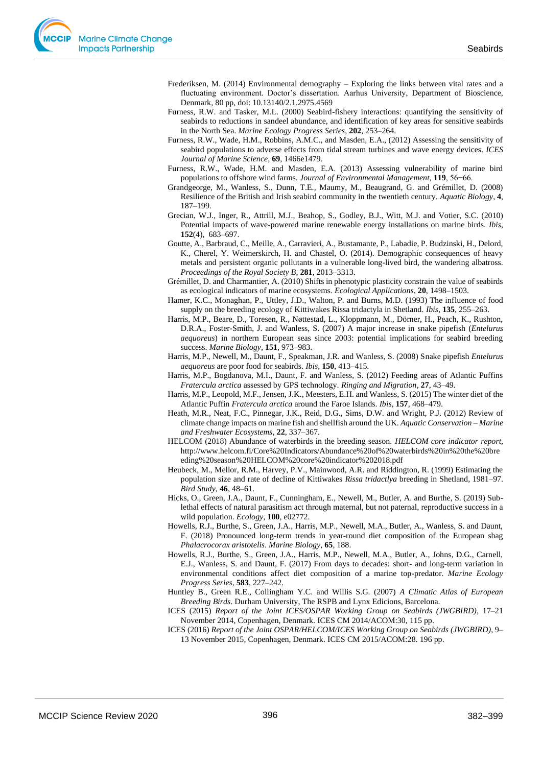- Frederiksen, M. (2014) Environmental demography Exploring the links between vital rates and a fluctuating environment. Doctor's dissertation. Aarhus University, Department of Bioscience, Denmark, 80 pp, doi: 10.13140/2.1.2975.4569
- Furness, R.W. and Tasker, M.L. (2000) Seabird-fishery interactions: quantifying the sensitivity of seabirds to reductions in sandeel abundance, and identification of key areas for sensitive seabirds in the North Sea. *Marine Ecology Progress Series*, **202**, 253–264.
- Furness, R.W., Wade, H.M., Robbins, A.M.C., and Masden, E.A., (2012) Assessing the sensitivity of seabird populations to adverse effects from tidal stream turbines and wave energy devices. *ICES Journal of Marine Science*, **69**, 1466e1479.
- Furness, R.W., Wade, H.M. and Masden, E.A. (2013) Assessing vulnerability of marine bird populations to offshore wind farms. *Journal of Environmental Management*, **119**, 56−66.
- Grandgeorge, M., Wanless, S., Dunn, T.E., Maumy, M., Beaugrand, G. and Grémillet, D. (2008) Resilience of the British and Irish seabird community in the twentieth century. *Aquatic Biology*, **4**, 187–199.
- Grecian, W.J., Inger, R., Attrill, M.J., Beahop, S., Godley, B.J., Witt, M.J. and Votier, S.C. (2010) Potential impacts of wave-powered marine renewable energy installations on marine birds. *Ibis*, **152**(4), 683–697.
- Goutte, A., Barbraud, C., Meille, A., Carravieri, A., Bustamante, P., Labadie, P. Budzinski, H., Delord, K., Cherel, Y. Weimerskirch, H. and Chastel, O. (2014). Demographic consequences of heavy metals and persistent organic pollutants in a vulnerable long-lived bird, the wandering albatross. *Proceedings of the Royal Society B*, **281**, 2013–3313.
- Grémillet, D. and Charmantier, A. (2010) Shifts in phenotypic plasticity constrain the value of seabirds as ecological indicators of marine ecosystems. *Ecological Applications*, **20**, 1498–1503.
- Hamer, K.C., Monaghan, P., Uttley, J.D., Walton, P. and Burns, M.D. (1993) The influence of food supply on the breeding ecology of Kittiwakes Rissa tridactyla in Shetland. *Ibis*, **135**, 255–263.
- Harris, M.P., Beare, D., Toresen, R., Nøttestad, L., Kloppmann, M., Dörner, H., Peach, K., Rushton, D.R.A., Foster-Smith, J. and Wanless, S. (2007) A major increase in snake pipefish (*Entelurus aequoreus*) in northern European seas since 2003: potential implications for seabird breeding success. *Marine Biology*, **151**, 973–983.
- Harris, M.P., Newell, M., Daunt, F., Speakman, J.R. and Wanless, S. (2008) Snake pipefish *Entelurus aequoreus* are poor food for seabirds. *Ibis*, **150**, 413–415.
- Harris, M.P., Bogdanova, M.I., Daunt, F. and Wanless, S. (2012) Feeding areas of Atlantic Puffins *Fratercula arctica* assessed by GPS technology. *Ringing and Migration*, **27**, 43–49.
- Harris, M.P., Leopold, M.F., Jensen, J.K., Meesters, E.H. and Wanless, S. (2015) The winter diet of the Atlantic Puffin *Fratercula arctica* around the Faroe Islands. *Ibis,* **157**, 468–479.
- Heath, M.R., Neat, F.C., Pinnegar, J.K., Reid, D.G., Sims, D.W. and Wright, P.J. (2012) Review of climate change impacts on marine fish and shellfish around the UK. *Aquatic Conservation – Marine and Freshwater Ecosystems*, **22**, 337–367.
- HELCOM (2018) Abundance of waterbirds in the breeding season. *HELCOM core indicator report*, http://www.helcom.fi/Core%20Indicators/Abundance%20of%20waterbirds%20in%20the%20bre eding%20season%20HELCOM%20core%20indicator%202018.pdf
- Heubeck, M., Mellor, R.M., Harvey, P.V., Mainwood, A.R. and Riddington, R. (1999) Estimating the population size and rate of decline of Kittiwakes *Rissa tridactlya* breeding in Shetland, 1981–97. *Bird Study*, **46**, 48–61.
- Hicks, O., Green, J.A., Daunt, F., Cunningham, E., Newell, M., Butler, A. and Burthe, S. (2019) Sublethal effects of natural parasitism act through maternal, but not paternal, reproductive success in a wild population. *Ecology,* **100**, e02772.
- Howells, R.J., Burthe, S., Green, J.A., Harris, M.P., Newell, M.A., Butler, A., Wanless, S. and Daunt, F. (2018) Pronounced long-term trends in year-round diet composition of the European shag *Phalacrocorax aristotelis*. *Marine Biology*, **65**, 188.
- Howells, R.J., Burthe, S., Green, J.A., Harris, M.P., Newell, M.A., Butler, A., Johns, D.G., Carnell, E.J., Wanless, S. and Daunt, F. (2017) From days to decades: short- and long-term variation in environmental conditions affect diet composition of a marine top-predator. *Marine Ecology Progress Series*, **583**, 227–242.
- Huntley B., Green R.E., Collingham Y.C. and Willis S.G. (2007) *A Climatic Atlas of European Breeding Birds*. Durham University, The RSPB and Lynx Edicions, Barcelona.
- ICES (2015) *Report of the Joint ICES/OSPAR Working Group on Seabirds (JWGBIRD)*, 17–21 November 2014, Copenhagen, Denmark. ICES CM 2014/ACOM:30, 115 pp.
- ICES (2016) *Report of the Joint OSPAR/HELCOM/ICES Working Group on Seabirds (JWGBIRD)*, 9– 13 November 2015, Copenhagen, Denmark. ICES CM 2015/ACOM:28. 196 pp.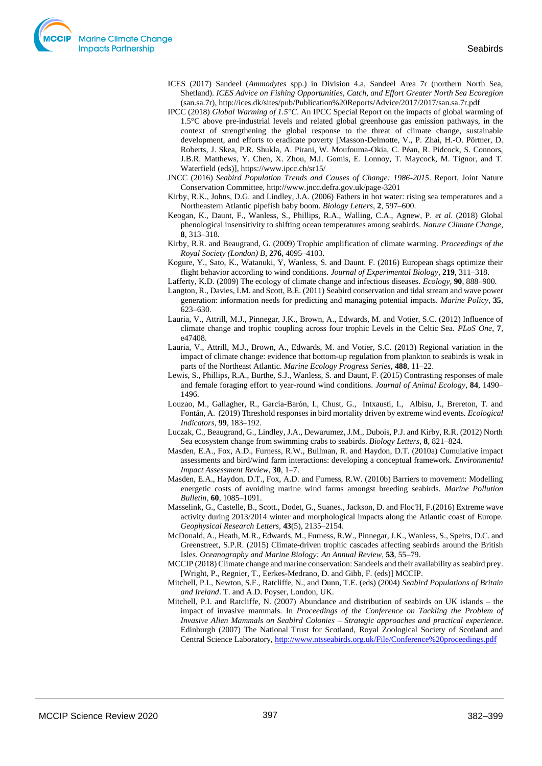- ICES (2017) Sandeel (*Ammodytes* spp.) in Division 4.a, Sandeel Area 7r (northern North Sea, Shetland). *ICES Advice on Fishing Opportunities, Catch, and Effort Greater North Sea Ecoregion* (san.sa.7r), http://ices.dk/sites/pub/Publication%20Reports/Advice/2017/2017/san.sa.7r.pdf
- IPCC (2018) *Global Warming of 1.5°C*. An IPCC Special Report on the impacts of global warming of 1.5°C above pre-industrial levels and related global greenhouse gas emission pathways, in the context of strengthening the global response to the threat of climate change, sustainable development, and efforts to eradicate poverty [Masson-Delmotte, V., P. Zhai, H.-O. Pörtner, D. Roberts, J. Skea, P.R. Shukla, A. Pirani, W. Moufouma-Okia, C. Péan, R. Pidcock, S. Connors, J.B.R. Matthews, Y. Chen, X. Zhou, M.I. Gomis, E. Lonnoy, T. Maycock, M. Tignor, and T. Waterfield (eds)], https://www.ipcc.ch/sr15/
- JNCC (2016) *Seabird Population Trends and Causes of Change: 1986-2015*. Report, Joint Nature Conservation Committee, http://www.jncc.defra.gov.uk/page-3201
- Kirby, R.K., Johns, D.G. and Lindley, J.A. (2006) Fathers in hot water: rising sea temperatures and a Northeastern Atlantic pipefish baby boom. *Biology Letters*, **2**, 597–600.
- Keogan, K., Daunt, F., Wanless, S., Phillips, R.A., Walling, C.A., Agnew, P. *et al*. (2018) Global phenological insensitivity to shifting ocean temperatures among seabirds. *Nature Climate Change*, **8**, 313–318.
- Kirby, R.R. and Beaugrand, G. (2009) Trophic amplification of climate warming. *Proceedings of the Royal Society (London) B*, **276**, 4095–4103.
- Kogure, Y., Sato, K., Watanuki, Y, Wanless, S. and Daunt. F. (2016) European shags optimize their flight behavior according to wind conditions. *Journal of Experimental Biology*, **219**, 311*–*318.
- Lafferty, K.D. (2009) The ecology of climate change and infectious diseases. *Ecology*, **90**, 888–900.
- Langton, R., Davies, I.M. and Scott, B.E. (2011) Seabird conservation and tidal stream and wave power generation: information needs for predicting and managing potential impacts. *Marine Policy*, **35**, 623–630.
- Lauria, V., Attrill, M.J., Pinnegar, J.K., Brown, A., Edwards, M. and Votier, S.C. (2012) Influence of climate change and trophic coupling across four trophic Levels in the Celtic Sea. *PLoS One*, **7**, e47408.
- Lauria, V., Attrill, M.J., Brown, A., Edwards, M. and Votier, S.C. (2013) Regional variation in the impact of climate change: evidence that bottom-up regulation from plankton to seabirds is weak in parts of the Northeast Atlantic. *Marine Ecology Progress Series*, **488**, 11–22.
- Lewis, S., Phillips, R.A., Burthe, S.J., Wanless, S. and Daunt, F. (2015) Contrasting responses of male and female foraging effort to year-round wind conditions. *Journal of Animal Ecology*, **84**, 1490– 1496.
- Louzao, M., Gallagher, R., García-Barón, I., Chust, G., Intxausti, I., Albisu, J., Brereton, T. and Fontán, A. (2019) Threshold responses in bird mortality driven by extreme wind events. *Ecological Indicators*, **99**, 183–192.
- Luczak, C., Beaugrand, G., Lindley, J.A., Dewarumez, J.M., Dubois, P.J. and Kirby, R.R. (2012) North Sea ecosystem change from swimming crabs to seabirds. *Biology Letters*, **8**, 821–824.
- Masden, E.A., Fox, A.D., Furness, R.W., Bullman, R. and Haydon, D.T. (2010a) Cumulative impact assessments and bird/wind farm interactions: developing a conceptual framework. *Environmental Impact Assessment Review*, **30**, 1–7.
- Masden, E.A., Haydon, D.T., Fox, A.D. and Furness, R.W. (2010b) Barriers to movement: Modelling energetic costs of avoiding marine wind farms amongst breeding seabirds. *Marine Pollution Bulletin*, **60**, 1085–1091.
- Masselink, G., Castelle, B., Scott., Dodet, G., Suanes., Jackson, D. and Floc'H, F.(2016) Extreme wave activity during 2013/2014 winter and morphological impacts along the Atlantic coast of Europe. *Geophysical Research Letters*, **43**(5), 2135–2154.
- McDonald, A., Heath, M.R., Edwards, M., Furness, R.W., Pinnegar, J.K., Wanless, S., Speirs, D.C. and Greenstreet, S.P.R. (2015) Climate-driven trophic cascades affecting seabirds around the British Isles. *Oceanography and Marine Biology: An Annual Review,* **53**, 55–79.
- MCCIP (2018) Climate change and marine conservation: Sandeels and their availability as seabird prey. [Wright, P., Regnier, T., Eerkes-Medrano, D. and Gibb, F. (eds)] MCCIP.
- Mitchell, P.I., Newton, S.F., Ratcliffe, N., and Dunn, T.E. (eds) (2004) *Seabird Populations of Britain and Ireland*. T. and A.D. Poyser, London, UK.
- Mitchell, P.I. and Ratcliffe, N. (2007) Abundance and distribution of seabirds on UK islands the impact of invasive mammals. In *Proceedings of the Conference on Tackling the Problem of Invasive Alien Mammals on Seabird Colonies – Strategic approaches and practical experience*. Edinburgh (2007) The National Trust for Scotland, Royal Zoological Society of Scotland and Central Science Laboratory,<http://www.ntsseabirds.org.uk/File/Conference%20proceedings.pdf>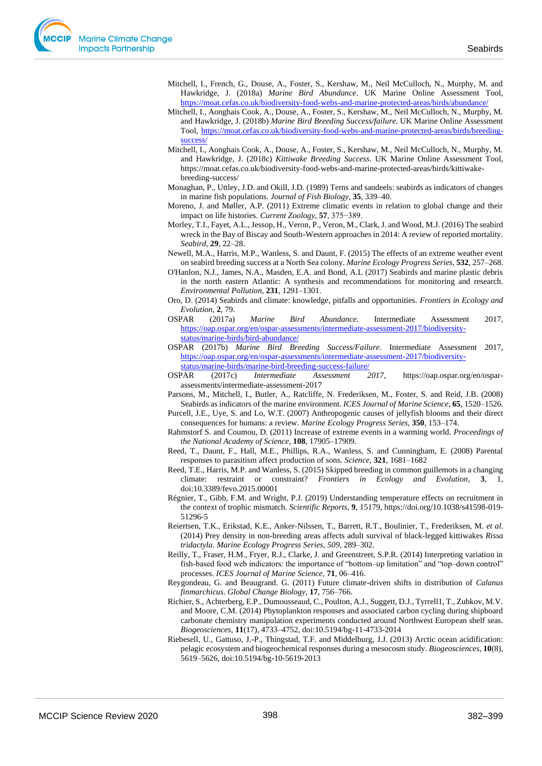- Mitchell, I., French, G., Douse, A., Foster, S., Kershaw, M., Neil McCulloch, N., Murphy, M. and Hawkridge, J. (2018a) *Marine Bird Abundance*. UK Marine Online Assessment Tool, <https://moat.cefas.co.uk/biodiversity-food-webs-and-marine-protected-areas/birds/abundance/>
- Mitchell, I., Aonghais Cook, A., Douse, A., Foster, S., Kershaw, M., Neil McCulloch, N., Murphy, M. and Hawkridge, J. (2018b) *Marine Bird Breeding Success/failure*. UK Marine Online Assessment Tool, [https://moat.cefas.co.uk/biodiversity-food-webs-and-marine-protected-areas/birds/breeding](https://moat.cefas.co.uk/biodiversity-food-webs-and-marine-protected-areas/birds/breeding-success/)[success/](https://moat.cefas.co.uk/biodiversity-food-webs-and-marine-protected-areas/birds/breeding-success/)
- Mitchell, I., Aonghais Cook, A., Douse, A., Foster, S., Kershaw, M., Neil McCulloch, N., Murphy, M. and Hawkridge, J. (2018c) *Kittiwake Breeding Success*. UK Marine Online Assessment Tool, https://moat.cefas.co.uk/biodiversity-food-webs-and-marine-protected-areas/birds/kittiwakebreeding-success/
- Monaghan, P., Uttley, J.D. and Okill, J.D. (1989) Terns and sandeels: seabirds as indicators of changes in marine fish populations. *Journal of Fish Biology*, **35**, 339–40.
- Moreno, J. and Møller, A.P. (2011) Extreme climatic events in relation to global change and their impact on life histories. *Current Zoology*, **57**, 375−389.
- Morley, T.I., Fayet, A.L., Jessop, H., Veron, P., Veron, M., Clark, J. and Wood, M.J. (2016) The seabird wreck in the Bay of Biscay and South-Western approaches in 2014: A review of reported mortality. *Seabird*, **29**, 22–28.
- Newell, M.A., Harris, M.P., Wanless, S. and Daunt, F. (2015) The effects of an extreme weather event on seabird breeding success at a North Sea colony. *Marine Ecology Progress Series*, **532**, 257–268.
- O'Hanlon, N.J., James, N.A., Masden, E.A. and Bond, A.L (2017) Seabirds and marine plastic debris in the north eastern Atlantic: A synthesis and recommendations for monitoring and research. *Environmental Pollution*, **231**, 1291–1301.
- Oro, D. (2014) Seabirds and climate: knowledge, pitfalls and opportunities. *Frontiers in Ecology and Evolution*, **2**, 79.
- OSPAR (2017a) *Marine Bird Abundance*. Intermediate Assessment 2017, [https://oap.ospar.org/en/ospar-assessments/intermediate-assessment-2017/biodiversity](https://oap.ospar.org/en/ospar-assessments/intermediate-assessment-2017/biodiversity-status/marine-birds/bird-abundance/)[status/marine-birds/bird-abundance/](https://oap.ospar.org/en/ospar-assessments/intermediate-assessment-2017/biodiversity-status/marine-birds/bird-abundance/)
- OSPAR (2017b) *Marine Bird Breeding Success/Failure*. Intermediate Assessment 2017, [https://oap.ospar.org/en/ospar-assessments/intermediate-assessment-2017/biodiversity](https://oap.ospar.org/en/ospar-assessments/intermediate-assessment-2017/biodiversity-status/marine-birds/marine-bird-breeding-success-failure/)[status/marine-birds/marine-bird-breeding-success-failure/](https://oap.ospar.org/en/ospar-assessments/intermediate-assessment-2017/biodiversity-status/marine-birds/marine-bird-breeding-success-failure/)
- OSPAR (2017c) *Intermediate Assessment 2017,* https://oap.ospar.org/en/osparassessments/intermediate-assessment-2017
- Parsons, M., Mitchell, I., Butler, A., Ratcliffe, N. Frederiksen, M., Foster, S. and Reid, J.B. (2008) Seabirds as indicators of the marine environment. *ICES Journal of Marine Science*, **65**, 1520–1526.
- Purcell, J.E., Uye, S. and Lo, W.T. (2007) Anthropogenic causes of jellyfish blooms and their direct consequences for humans: a review. *Marine Ecology Progress Series*, **350**, 153–174.
- Rahmstorf S. and Coumou, D. (2011) Increase of extreme events in a warming world. *Proceedings of the National Academy of Science*, **108**, 17905–17909.
- Reed, T., Daunt, F., Hall, M.E., Phillips, R.A., Wanless, S. and Cunningham, E. (2008) Parental responses to parasitism affect production of sons. *Science*, **321**, 1681–1682
- Reed, T.E., Harris, M.P. and Wanless, S. (2015) Skipped breeding in common guillemots in a changing climate: restraint or constraint? *Frontiers in Ecology and Evolution*, **3**, 1, doi:10.3389/fevo.2015.00001
- Régnier, T., Gibb, F.M. and Wright, P.J. (2019) Understanding temperature effects on recruitment in the context of trophic mismatch. *Scientific Reports*, **9**, 15179, https://doi.org/10.1038/s41598-019- 51296-5
- Reiertsen, T.K., Erikstad, K.E., Anker-Nilssen, T., Barrett, R.T., Boulinier, T., Frederiksen, M. *et al*. (2014) Prey density in non-breeding areas affects adult survival of black-legged kittiwakes *Rissa tridactyla*. *Marine Ecology Progress Series*, *509*, 289–302.
- Reilly, T., Fraser, H.M., Fryer, R.J., Clarke, J. and Greenstreet, S.P.R. (2014) Interpreting variation in fish-based food web indicators: the importance of "bottom–up limitation" and "top–down control" processes. *ICES Journal of Marine Science*, **71**, 06–416.
- Reygondeau, G. and Beaugrand. G. (2011) Future climate-driven shifts in distribution of *Calanus finmarchicus*. *Global Change Biology*, **17**, 756–766.
- Richier, S., Achterberg, E.P., Dumousseaud, C., Poulton, A.J., Suggett, D.J., Tyrrell1, T., Zubkov, M.V. and Moore, C.M. (2014) Phytoplankton responses and associated carbon cycling during shipboard carbonate chemistry manipulation experiments conducted around Northwest European shelf seas. *Biogeosciences*, **11**(17), 4733–4752, doi:10.5194/bg-11-4733-2014
- Riebesell, U., Gattuso, J.-P., Thingstad, T.F. and Middelburg, J.J. (2013) Arctic ocean acidification: pelagic ecosystem and biogeochemical responses during a mesocosm study. *Biogeosciences*, **10**(8), 5619–5626, doi:10.5194/bg-10-5619-2013